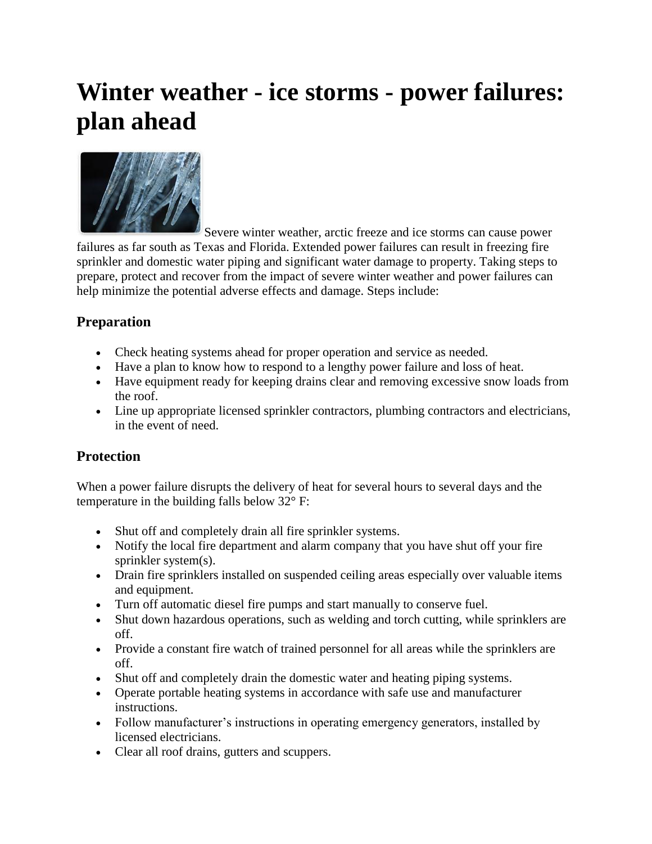## **Winter weather - ice storms - power failures: plan ahead**



Severe winter weather, arctic freeze and ice storms can cause power failures as far south as Texas and Florida. Extended power failures can result in freezing fire sprinkler and domestic water piping and significant water damage to property. Taking steps to prepare, protect and recover from the impact of severe winter weather and power failures can help minimize the potential adverse effects and damage. Steps include:

## **Preparation**

- Check heating systems ahead for proper operation and service as needed.
- Have a plan to know how to respond to a lengthy power failure and loss of heat.
- Have equipment ready for keeping drains clear and removing excessive snow loads from the roof.
- Line up appropriate licensed sprinkler contractors, plumbing contractors and electricians, in the event of need.

## **Protection**

When a power failure disrupts the delivery of heat for several hours to several days and the temperature in the building falls below 32° F:

- Shut off and completely drain all fire sprinkler systems.
- Notify the local fire department and alarm company that you have shut off your fire sprinkler system(s).
- Drain fire sprinklers installed on suspended ceiling areas especially over valuable items and equipment.
- Turn off automatic diesel fire pumps and start manually to conserve fuel.
- Shut down hazardous operations, such as welding and torch cutting, while sprinklers are off.
- Provide a constant fire watch of trained personnel for all areas while the sprinklers are off.
- Shut off and completely drain the domestic water and heating piping systems.
- Operate portable heating systems in accordance with safe use and manufacturer instructions.
- Follow manufacturer's instructions in operating emergency generators, installed by licensed electricians.
- Clear all roof drains, gutters and scuppers.